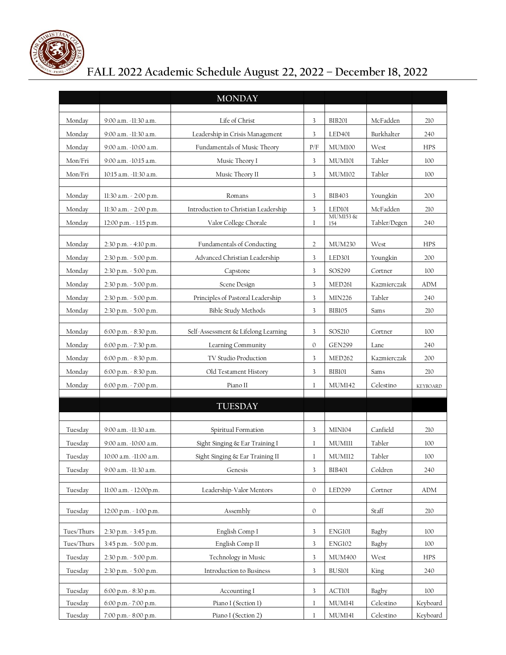

## **FALL 2022 Academic Schedule August 22, 2022 – December 18, 2022**

|            |                               | <b>MONDAY</b>                        |              |                    |              |                 |
|------------|-------------------------------|--------------------------------------|--------------|--------------------|--------------|-----------------|
|            |                               |                                      |              |                    |              |                 |
| Monday     | 9:00 a.m. -11:30 a.m.         | Life of Christ                       | 3            | <b>BIB201</b>      | McFadden     | 210             |
| Monday     | 9:00 a.m. -11:30 a.m.         | Leadership in Crisis Management      | 3            | LED <sub>401</sub> | Burkhalter   | 240             |
| Monday     | 9:00 a.m. -10:00 a.m.         | Fundamentals of Music Theory         | P/F          | <b>MUM100</b>      | West         | <b>HPS</b>      |
| Mon/Fri    | 9:00 a.m. -10:15 a.m.         | Music Theory I                       | 3            | MUM101             | Tabler       | 100             |
| Mon/Fri    | 10:15 a.m. -11:30 a.m.        | Music Theory II                      | 3            | <b>MUM102</b>      | Tabler       | 100             |
|            |                               |                                      |              |                    |              |                 |
| Monday     | 11:30 a.m. - 2:00 p.m.        | Romans                               | 3            | <b>BIB403</b>      | Youngkin     | 200             |
| Monday     | 11:30 a.m. - 2:00 p.m.        | Introduction to Christian Leadership | 3            | LED101<br>MUM153&  | McFadden     | 210             |
| Monday     | $12:00$ p.m. $\sim$ 1:15 p.m. | Valor College Chorale                | 1            | 154                | Tabler/Degen | 240             |
| Monday     | 2:30 p.m. - 4:10 p.m.         | Fundamentals of Conducting           | 2            | MUM230             | West         | <b>HPS</b>      |
| Monday     | 2:30 p.m. - 5:00 p.m.         | Advanced Christian Leadership        | 3            | LED301             | Youngkin     | 200             |
| Monday     | 2:30 p.m. - 5:00 p.m.         | Capstone                             | 3            | SOS299             | Cortner      | 100             |
| Monday     | $2:30$ p.m. $\leq 5:00$ p.m.  | Scene Design                         | 3            | MED261             | Kazmierczak  | ADM             |
| Monday     | 2:30 p.m. - 5:00 p.m.         | Principles of Pastoral Leadership    | 3            | MIN226             | Tabler       | 240             |
| Monday     | $2:30$ p.m. $-5:00$ p.m.      | <b>Bible Study Methods</b>           | 3            | BIB105             | Sams         | 210             |
|            |                               |                                      |              |                    |              |                 |
| Monday     | 6:00 p.m. - 8:30 p.m.         | Self-Assessment & Lifelong Learning  | 3            | SOS210             | Cortner      | 100             |
| Monday     | 6:00 p.m. - 7:30 p.m.         | Learning Community                   | $\mathbf{0}$ | <b>GEN299</b>      | Lane         | 240             |
| Monday     | 6:00 p.m. - 8:30 p.m.         | TV Studio Production                 | 3            | MED262             | Kazmierczak  | 200             |
| Monday     | 6:00 p.m. - 8:30 p.m.         | Old Testament History                | 3            | BIB101             | Sams         | 210             |
| Monday     | 6:00 p.m. - 7:00 p.m.         | Piano II                             | $\mathbf{1}$ | <b>MUM142</b>      | Celestino    | <b>KEYBOARD</b> |
|            |                               | <b>TUESDAY</b>                       |              |                    |              |                 |
|            |                               |                                      |              |                    |              |                 |
| Tuesday    | 9:00 a.m. -11:30 a.m.         | Spiritual Formation                  | 3            | MINI04             | Canfield     | 210             |
| Tuesday    | 9:00 a.m. -10:00 a.m.         | Sight Singing & Ear Training I       | 1            | MUMIII             | Tabler       | 100             |
| Tuesday    | 10:00 a.m. -11:00 a.m.        | Sight Singing & Ear Training II      | 1            | MUM112             | Tabler       | 100             |
| Tuesday    | 9:00 a.m. -11:30 a.m.         | Genesis                              | 3            | <b>BIB401</b>      | Coldren      | 240             |
|            |                               |                                      |              |                    |              |                 |
| Tuesday    | 11:00 a.m. - 12:00p.m.        | Leadership-Valor Mentors             | $\mathbf{O}$ | LED299             | Cortner      | ADM             |
| Tuesday    | $12:00$ p.m. $\sim$ 1:00 p.m. | Assembly                             | $\mathbf{0}$ |                    | Staff        | 210             |
|            |                               |                                      |              |                    |              |                 |
| Tues/Thurs | 2:30 p.m. - 3:45 p.m.         | English Comp I                       | 3            | ENG101             | Bagby        | 100             |
| Tues/Thurs | 3:45 p.m. - 5:00 p.m.         | English Comp II                      | 3            | ENG102             | Bagby        | 100             |
| Tuesday    | 2:30 p.m. - 5:00 p.m.         | Technology in Music                  | 3            | <b>MUM400</b>      | West         | <b>HPS</b>      |
| Tuesday    | $2:30$ p.m. $\sim$ 5:00 p.m.  | <b>Introduction to Business</b>      | 3            | BUS101             | King         | 240             |
| Tuesday    | $6:00$ p.m. $8:30$ p.m.       | Accounting I                         | 3            | ACTI01             | Bagby        | 100             |
| Tuesday    | 6:00 p.m. $-7:00$ p.m.        | Piano I (Section 1)                  | $\mathbf{1}$ | MUM141             | Celestino    | Keyboard        |
| Tuesday    | 7:00 p.m. - 8:00 p.m.         | Piano I (Section 2)                  | $\bf{l}$     | MUM141             | Celestino    | Keyboard        |